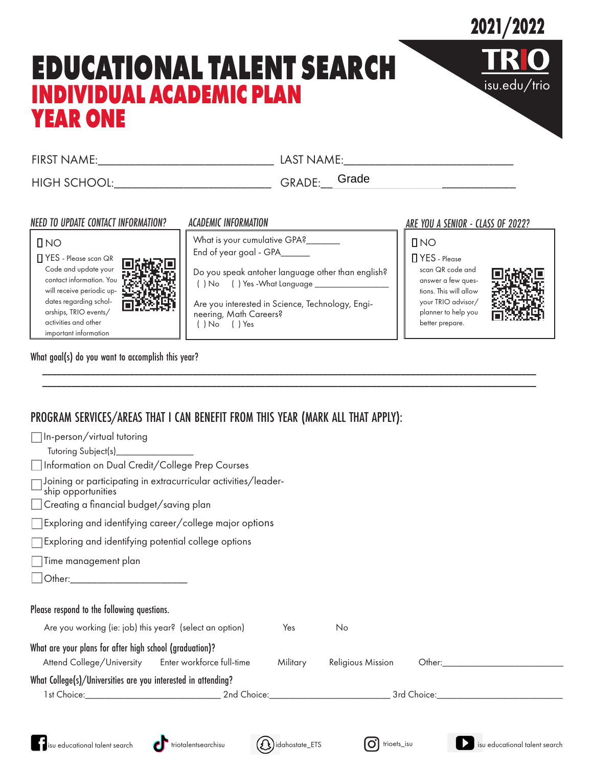## **2021/2022**

isu.edu/trio

# **EDUCATIONAL TALENT SEARCH INDIVIDUAL ACADEMIC PLAN YEAR ONE**

FIRST NAME: THE LAST NAME:

HIGH SCHOOL:\_\_\_\_\_\_\_\_\_\_\_\_\_\_\_\_\_\_\_\_\_\_\_\_\_ GRADE:\_\_\_\_\_\_\_\_\_\_\_\_\_\_\_\_\_\_\_\_\_\_\_\_\_\_\_\_\_\_\_ Grade

### *NEED TO UPDATE CONTACT INFORMATION? ACADEMIC INFORMATION ARE YOU A SENIOR - CLASS OF 2022?*

**DNO** 

YES - Please scan QR Code and update your contact information. You will receive periodic updates regarding scholarships, TRIO events/ activities and other important information



What is your cumulative GPA? End of year goal - GPA\_\_\_\_\_\_

Do you speak antoher language other than english?  $( )$  No  $( )$  Yes -What Language  $\qquad \qquad \blacksquare$ 

Are you interested in Science, Technology, Engineering, Math Careers? ( ) No ( ) Yes

*\_\_\_\_\_\_\_\_\_\_\_\_\_\_\_\_\_\_\_\_\_\_\_\_\_\_\_\_\_\_\_\_\_\_\_\_\_\_\_\_\_\_\_\_\_\_\_\_\_\_\_\_\_\_\_\_\_\_\_\_\_\_\_\_\_\_\_\_\_\_\_\_\_\_\_\_\_\_\_\_\_\_\_\_\_\_\_\_\_\_\_\_\_\_\_\_\_\_\_\_\_\_ \_\_\_\_\_\_\_\_\_\_\_\_\_\_\_\_\_\_\_\_\_\_\_\_\_\_\_\_\_\_\_\_\_\_\_\_\_\_\_\_\_\_\_\_\_\_\_\_\_\_\_\_\_\_\_\_\_\_\_\_\_\_\_\_\_\_\_\_\_\_\_\_\_\_\_\_\_\_\_\_\_\_\_\_\_\_\_\_\_\_\_\_\_\_\_\_\_\_\_\_\_\_*

**DNO** YES - Please

> scan QR code and answer a few questions. This will allow your TRIO advisor/ planner to help you better prepare.



What goal(s) do you want to accomplish this year?

### PROGRAM SERVICES/AREAS THAT I CAN BENEFIT FROM THIS YEAR (MARK ALL THAT APPLY):

| □ In-person/virtual tutoring                                                                                   |                                                                |          |                   |                                                                                                                                                                                                                                |  |
|----------------------------------------------------------------------------------------------------------------|----------------------------------------------------------------|----------|-------------------|--------------------------------------------------------------------------------------------------------------------------------------------------------------------------------------------------------------------------------|--|
| Tutoring Subject(s)___________________<br>Information on Dual Credit/College Prep Courses                      |                                                                |          |                   |                                                                                                                                                                                                                                |  |
| ship opportunities<br>Creating a financial budget/saving plan                                                  | Joining or participating in extracurricular activities/leader- |          |                   |                                                                                                                                                                                                                                |  |
|                                                                                                                |                                                                |          |                   |                                                                                                                                                                                                                                |  |
| Exploring and identifying career/college major options                                                         |                                                                |          |                   |                                                                                                                                                                                                                                |  |
| $\Box$ Exploring and identifying potential college options                                                     |                                                                |          |                   |                                                                                                                                                                                                                                |  |
| Time management plan                                                                                           |                                                                |          |                   |                                                                                                                                                                                                                                |  |
|                                                                                                                |                                                                |          |                   |                                                                                                                                                                                                                                |  |
|                                                                                                                |                                                                |          |                   |                                                                                                                                                                                                                                |  |
| Please respond to the following questions.                                                                     |                                                                |          |                   |                                                                                                                                                                                                                                |  |
| Are you working (ie: job) this year? (select an option)                                                        |                                                                | Yes      | No                |                                                                                                                                                                                                                                |  |
| What are your plans for after high school (graduation)?<br>Attend College/University Enter workforce full-time |                                                                | Military | Religious Mission | Other: when the contract of the contract of the contract of the contract of the contract of the contract of the contract of the contract of the contract of the contract of the contract of the contract of the contract of th |  |
| What College(s)/Universities are you interested in attending?                                                  |                                                                |          |                   |                                                                                                                                                                                                                                |  |
|                                                                                                                |                                                                |          |                   |                                                                                                                                                                                                                                |  |
|                                                                                                                |                                                                |          |                   |                                                                                                                                                                                                                                |  |
|                                                                                                                |                                                                |          |                   |                                                                                                                                                                                                                                |  |
|                                                                                                                |                                                                |          |                   |                                                                                                                                                                                                                                |  |

isu educational talent search **the i**triotalentsearchisu (2) idahostate\_ETS (0) trioets\_isu isu educational talent search